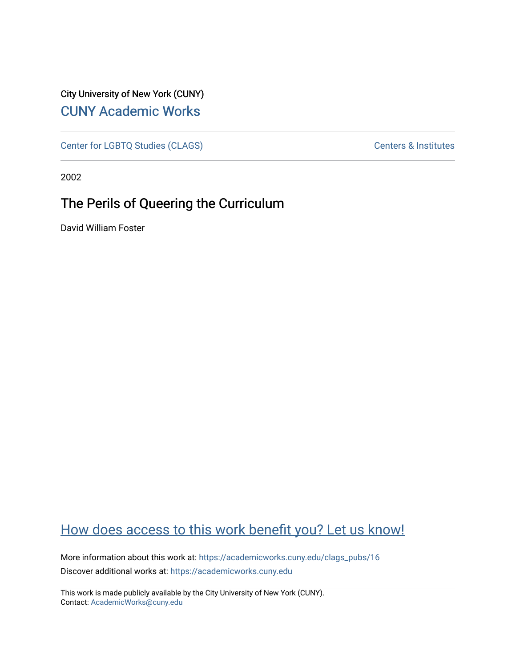City University of New York (CUNY) [CUNY Academic Works](https://academicworks.cuny.edu/) 

[Center for LGBTQ Studies \(CLAGS\)](https://academicworks.cuny.edu/clags_pubs) Centers & Institutes

2002

## The Perils of Queering the Curriculum

David William Foster

## [How does access to this work benefit you? Let us know!](http://ols.cuny.edu/academicworks/?ref=https://academicworks.cuny.edu/clags_pubs/16)

More information about this work at: [https://academicworks.cuny.edu/clags\\_pubs/16](https://academicworks.cuny.edu/clags_pubs/16)  Discover additional works at: [https://academicworks.cuny.edu](https://academicworks.cuny.edu/?)

This work is made publicly available by the City University of New York (CUNY). Contact: [AcademicWorks@cuny.edu](mailto:AcademicWorks@cuny.edu)